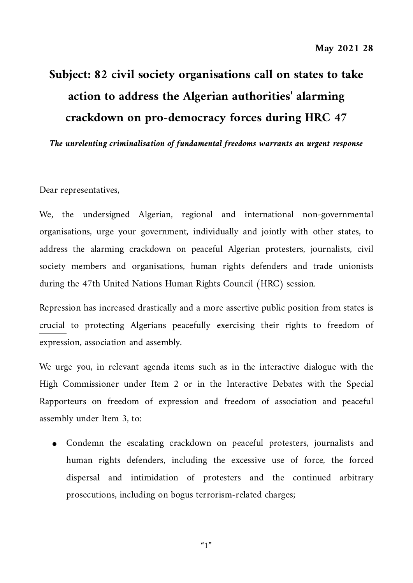## **Subject: 82 civil society organisations call on states to take action to address the Algerian authorities' alarming crackdown on pro-democracy forces during HRC 47**

*The unrelenting criminalisation of fundamental freedoms warrants an urgent response*

Dear representatives,

We, the undersigned Algerian, regional and international non-governmental organisations, urge your government, individually and jointly with other states, to address the alarming crackdown on peaceful Algerian protesters, journalists, civil society members and organisations, human rights defenders and trade unionists during the 47th United Nations Human Rights Council (HRC) session.

Repression has increased drastically and a more assertive public position from states is [crucial](https://cihrs.org/algeria-more-assertive-public-position-from-international-community-crucial-to-protecting-algerians-on-hirak-two-year-anniversary/?lang=en) to protecting Algerians peacefully exercising their rights to freedom of expression, association and assembly.

We urge you, in relevant agenda items such as in the interactive dialogue with the High Commissioner under Item 2 or in the Interactive Debates with the Special Rapporteurs on freedom of expression and freedom of association and peaceful assembly under Item 3, to:

● Condemn the escalating crackdown on peaceful protesters, journalists and human rights defenders, including the excessive use of force, the forced dispersal and intimidation of protesters and the continued arbitrary prosecutions, including on bogus terrorism-related charges;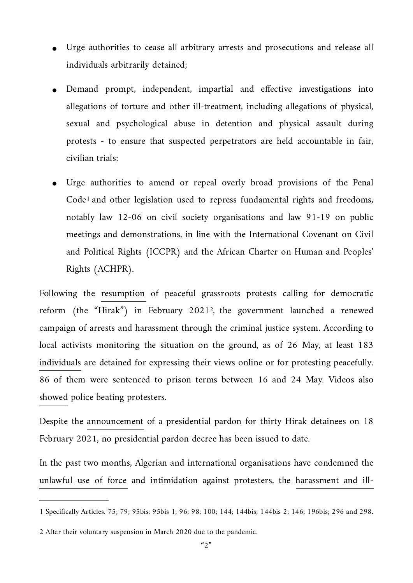- Urge authorities to cease all arbitrary arrests and prosecutions and release all individuals arbitrarily detained;
- Demand prompt, independent, impartial and effective investigations into allegations of torture and other ill-treatment, including allegations of physical, sexual and psychological abuse in detention and physical assault during protests - to ensure that suspected perpetrators are held accountable in fair, civilian trials;
- <span id="page-1-2"></span>Urge authorities to amend or repeal overly broad provisions of the Penal Code<sup>[1](#page-1-0)</sup> and other legislation used to repress fundamental rights and freedoms, notably law 12-06 on civil society organisations and law 91-19 on public meetings and demonstrations, in line with the International Covenant on Civil and Political Rights (ICCPR) and the African Charter on Human and Peoples' Rights (ACHPR).

<span id="page-1-3"></span>Following the [resumption](https://www.reuters.com/article/algeria-protests-anniversary-kherrata-in-idUSKBN2AG1UK) of peaceful grassroots protests calling for democratic reform (the "Hirak") in February 2021<sup>2</sup>[,](#page-1-1) the government launched a renewed campaign of arrests and harassment through the criminal justice system. According to local activists monitoring the situation on the ground, as of 26 May, at least [183](https://www.facebook.com/comitenationalpourlaliberationdesdetenusCNLD/posts/164035688299904)  [individuals](https://www.facebook.com/comitenationalpourlaliberationdesdetenusCNLD/posts/164035688299904) are detained for expressing their views online or for protesting peacefully. 86 of them were sentenced to prison terms between 16 and 24 May. Videos also [showed](https://www.facebook.com/2298875860335412/videos/292460275940715) police beating protesters.

Despite the [announcement](https://www.aps.dz/algerie/117834-tebboune-grace-presidentielle-en-faveur-de-detenus-du-hirak) of a presidential pardon for thirty Hirak detainees on 18 February 2021, no presidential pardon decree has been issued to date.

In the past two months, Algerian and international organisations have condemned the [unlawful use of force](https://www.amnesty.org/en/latest/news/2021/05/algeria-stop-using-unlawful-force-against-protesters/) and intimidation against protesters, the [harassment and ill-](https://www.frontlinedefenders.org/en/statement-report/harassment-algerian-human-rights-defenders-must-end)

<span id="page-1-0"></span>[<sup>1</sup>](#page-1-2) Specifically Articles. 75; 79; 95bis; 95bis 1; 96; 98; 100; 144; 144bis; 144bis 2; 146; 196bis; 296 and 298.

<span id="page-1-1"></span>[<sup>2</sup>](#page-1-3) After their voluntary suspension in March 2020 due to the pandemic.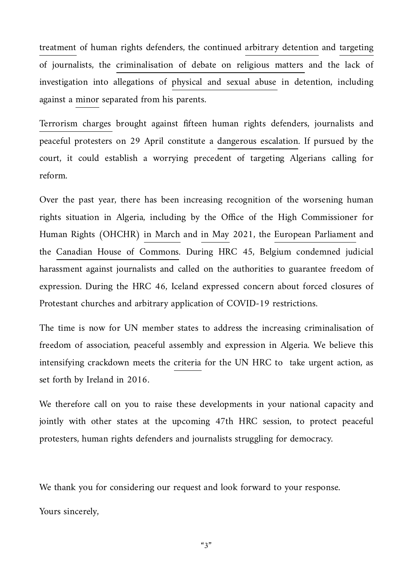[treatment](https://www.frontlinedefenders.org/en/statement-report/harassment-algerian-human-rights-defenders-must-end) of human rights defenders, the continued [arbitrary detention](https://cpj.org/2021/04/algerian-journalist-rabah-kareche-detained-on-false-news-and-anti-state-allegations/) and [targeting](https://twitter.com/RSF_NordAfrique/status/1388195880583450625) of journalists, the [criminalisation of debate on religious matters](https://www.amnesty.org/en/latest/news/2021/04/algeria-islamic-scholar-sentenced-to-three-year-prison-term-for-offending-islam/) and the lack of investigation into allegations of [physical and sexual abuse](https://www.facebook.com/LADDH/posts/10157776935756759) in detention, including against a [minor](https://www.algiersherald.com/authorities-blame-the-victim-in-case-of-teenager-sexually-abused-in-custody-at-algiers-police-station/) separated from his parents.

[Terrorism charges](https://www.frontlinedefenders.org/en/statement-report/joint-statement-algeria-terrorism-charges-brought-against-human-rights-defenders) brought against fifteen human rights defenders, journalists and peaceful protesters on 29 April constitute a [dangerous escalation.](https://www.amnestyalgerie.org/2021/05/17/algerie-il-faut-abandonner-les-fausses-accusations-contre-trois-defenseurs-des-droits-humains/) If pursued by the court, it could establish a worrying precedent of targeting Algerians calling for reform.

Over the past year, there has been increasing recognition of the worsening human rights situation in Algeria, including by the Office of the High Commissioner for Human Rights (OHCHR) [in March](https://www.ohchr.org/EN/NewsEvents/Pages/DisplayNews.aspx?NewsID=26851&LangID=E) and [in May](https://www.ohchr.org/EN/NewsEvents/Pages/DisplayNews.aspx?NewsID=27078&LangID=E) 2021, the [European Parliament](https://www.europarl.europa.eu/doceo/document/TA-9-2020-0329_EN.html) and the [Canadian House of Commons](https://www.ourcommons.ca/DocumentViewer/en/43-2/house/sitting-21/hansard). During HRC 45, Belgium condemned judicial harassment against journalists and called on the authorities to guarantee freedom of expression. During the HRC 46, Iceland expressed concern about forced closures of Protestant churches and arbitrary application of COVID-19 restrictions.

The time is now for UN member states to address the increasing criminalisation of freedom of association, peaceful assembly and expression in Algeria. We believe this intensifying crackdown meets the [criteria](https://www.dfa.ie/our-role-policies/international-priorities/human-rights/ireland-and-the-human-rights-council/irelands-statements-hrc-32nd-session/preventingrespondingtoandaddressinghumanrightsviolations-jointconcludingstatement/) for the UN HRC to take urgent action, as set forth by Ireland in 2016.

We therefore call on you to raise these developments in your national capacity and jointly with other states at the upcoming 47th HRC session, to protect peaceful protesters, human rights defenders and journalists struggling for democracy.

We thank you for considering our request and look forward to your response.

Yours sincerely,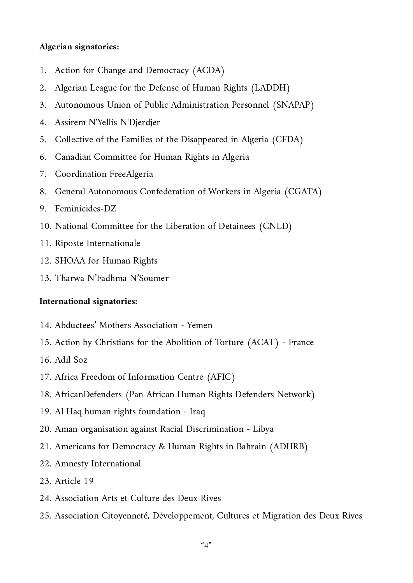## **Algerian signatories:**

- 1. Action for Change and Democracy (ACDA)
- 2. Algerian League for the Defense of Human Rights (LADDH)
- 3. Autonomous Union of Public Administration Personnel (SNAPAP)
- 4. Assirem N'Yellis N'Djerdjer
- 5. Collective of the Families of the Disappeared in Algeria (CFDA)
- 6. Canadian Committee for Human Rights in Algeria
- 7. Coordination FreeAlgeria
- 8. General Autonomous Confederation of Workers in Algeria (CGATA)
- 9. Feminicides-DZ
- 10. National Committee for the Liberation of Detainees (CNLD)
- 11. Riposte Internationale
- 12. SHOAA for Human Rights
- 13. Tharwa N'Fadhma N'Soumer

## **International signatories:**

- 14. Abductees' Mothers Association Yemen
- 15. Action by Christians for the Abolition of Torture (ACAT) France
- 16. Adil Soz
- 17. Africa Freedom of Information Centre (AFIC)
- 18. AfricanDefenders (Pan African Human Rights Defenders Network)
- 19. Al Haq human rights foundation Iraq
- 20. Aman organisation against Racial Discrimination Libya
- 21. Americans for Democracy & Human Rights in Bahrain (ADHRB)
- 22. Amnesty International
- 23. Article 19
- 24. Association Arts et Culture des Deux Rives
- 25. Association Citoyenneté, Développement, Cultures et Migration des Deux Rives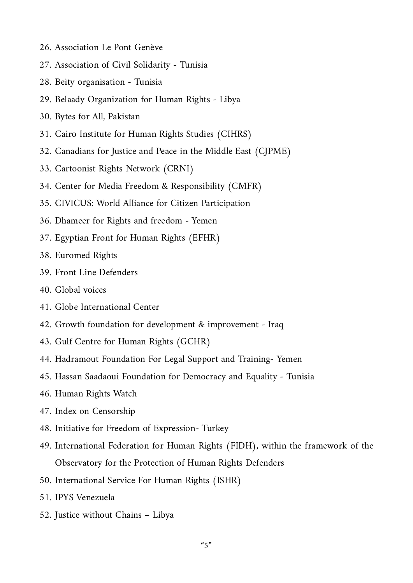- 26. Association Le Pont Genève
- 27. Association of Civil Solidarity Tunisia
- 28. Beity organisation Tunisia
- 29. Belaady Organization for Human Rights Libya
- 30. Bytes for All, Pakistan
- 31. Cairo Institute for Human Rights Studies (CIHRS)
- 32. Canadians for Justice and Peace in the Middle East (CJPME)
- 33. Cartoonist Rights Network (CRNI)
- 34. Center for Media Freedom & Responsibility (CMFR)
- 35. CIVICUS: World Alliance for Citizen Participation
- 36. Dhameer for Rights and freedom Yemen
- 37. Egyptian Front for Human Rights (EFHR)
- 38. Euromed Rights
- 39. Front Line Defenders
- 40. Global voices
- 41. Globe International Center
- 42. Growth foundation for development & improvement Iraq
- 43. Gulf Centre for Human Rights (GCHR)
- 44. Hadramout Foundation For Legal Support and Training- Yemen
- 45. Hassan Saadaoui Foundation for Democracy and Equality Tunisia
- 46. Human Rights Watch
- 47. Index on Censorship
- 48. Initiative for Freedom of Expression- Turkey
- 49. International Federation for Human Rights (FIDH), within the framework of the Observatory for the Protection of Human Rights Defenders
- 50. International Service For Human Rights (ISHR)
- 51. IPYS Venezuela
- 52. Justice without Chains Libya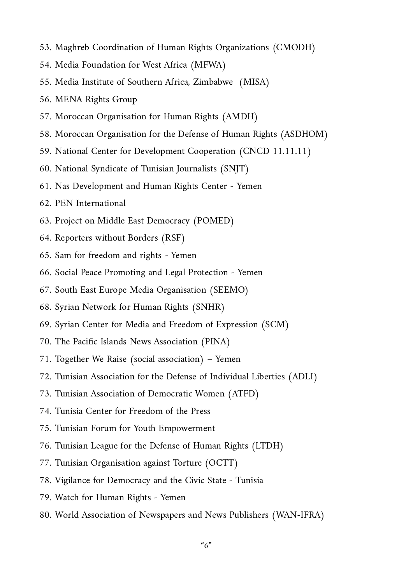- 53. Maghreb Coordination of Human Rights Organizations (CMODH)
- 54. Media Foundation for West Africa (MFWA)
- 55. Media Institute of Southern Africa, Zimbabwe (MISA)
- 56. MENA Rights Group
- 57. Moroccan Organisation for Human Rights (AMDH)
- 58. Moroccan Organisation for the Defense of Human Rights (ASDHOM)
- 59. National Center for Development Cooperation (CNCD 11.11.11)
- 60. National Syndicate of Tunisian Journalists (SNJT)
- 61. Nas Development and Human Rights Center Yemen
- 62. PEN International
- 63. Project on Middle East Democracy (POMED)
- 64. Reporters without Borders (RSF)
- 65. Sam for freedom and rights Yemen
- 66. Social Peace Promoting and Legal Protection Yemen
- 67. South East Europe Media Organisation (SEEMO)
- 68. Syrian Network for Human Rights (SNHR)
- 69. Syrian Center for Media and Freedom of Expression (SCM)
- 70. The Pacific Islands News Association (PINA)
- 71. Together We Raise (social association) Yemen
- 72. Tunisian Association for the Defense of Individual Liberties (ADLI)
- 73. Tunisian Association of Democratic Women (ATFD)
- 74. Tunisia Center for Freedom of the Press
- 75. Tunisian Forum for Youth Empowerment
- 76. Tunisian League for the Defense of Human Rights (LTDH)
- 77. Tunisian Organisation against Torture (OCTT)
- 78. Vigilance for Democracy and the Civic State Tunisia
- 79. Watch for Human Rights Yemen
- 80. World Association of Newspapers and News Publishers (WAN-IFRA)